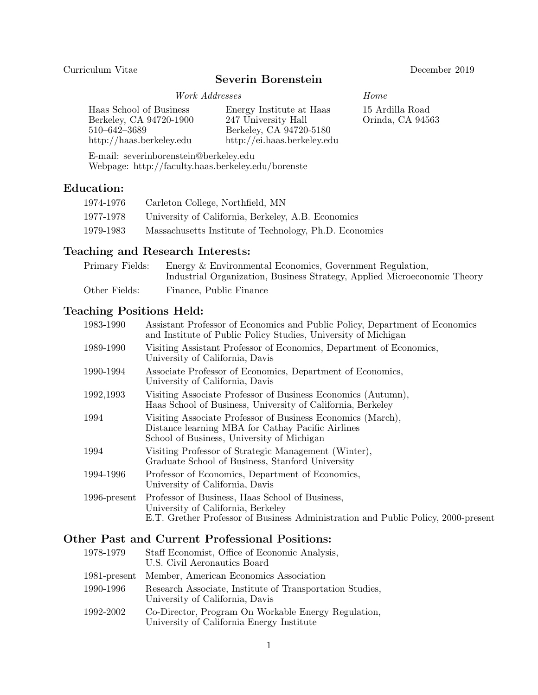#### Curriculum Vitae December 2019

# Severin Borenstein

#### Work Addresses Home

| Haas School of Business<br>Berkeley, CA 94720-1900<br>$510 - 642 - 3689$<br>$\frac{http://haas.berkeley.edu}{$ | Energy Institute at Haas<br>247 University Hall<br>Berkeley, CA 94720-5180<br>$\frac{http://ei.haas.berkeley.edu}{$ | 15 Ardilla Road<br>Orinda, CA 94563 |
|----------------------------------------------------------------------------------------------------------------|---------------------------------------------------------------------------------------------------------------------|-------------------------------------|
|                                                                                                                |                                                                                                                     |                                     |

E-mail: severinborenstein@berkeley.edu Webpage: http://faculty.haas.berkeley.edu/borenste

# Education:

| 1974-1976 | Carleton College, Northfield, MN                       |
|-----------|--------------------------------------------------------|
| 1977-1978 | University of California, Berkeley, A.B. Economics     |
| 1979-1983 | Massachusetts Institute of Technology, Ph.D. Economics |

# Teaching and Research Interests:

| Primary Fields: | Energy & Environmental Economics, Government Regulation,                 |
|-----------------|--------------------------------------------------------------------------|
|                 | Industrial Organization, Business Strategy, Applied Microeconomic Theory |
| Other Fields:   | Finance, Public Finance                                                  |

# Teaching Positions Held:

| 1989-1990<br>Visiting Assistant Professor of Economics, Department of Economics,<br>University of California, Davis<br>1990-1994<br>Associate Professor of Economics, Department of Economics,<br>University of California, Davis<br>1992,1993<br>Visiting Associate Professor of Business Economics (Autumn),<br>Haas School of Business, University of California, Berkeley<br>Visiting Associate Professor of Business Economics (March),<br>1994<br>Distance learning MBA for Cathay Pacific Airlines<br>School of Business, University of Michigan<br>Visiting Professor of Strategic Management (Winter),<br>1994<br>Graduate School of Business, Stanford University<br>1994-1996<br>Professor of Economics, Department of Economics,<br>University of California, Davis<br>Professor of Business, Haas School of Business,<br>$1996$ -present<br>University of California, Berkeley | 1983-1990 | Assistant Professor of Economics and Public Policy, Department of Economics<br>and Institute of Public Policy Studies, University of Michigan |
|---------------------------------------------------------------------------------------------------------------------------------------------------------------------------------------------------------------------------------------------------------------------------------------------------------------------------------------------------------------------------------------------------------------------------------------------------------------------------------------------------------------------------------------------------------------------------------------------------------------------------------------------------------------------------------------------------------------------------------------------------------------------------------------------------------------------------------------------------------------------------------------------|-----------|-----------------------------------------------------------------------------------------------------------------------------------------------|
|                                                                                                                                                                                                                                                                                                                                                                                                                                                                                                                                                                                                                                                                                                                                                                                                                                                                                             |           |                                                                                                                                               |
|                                                                                                                                                                                                                                                                                                                                                                                                                                                                                                                                                                                                                                                                                                                                                                                                                                                                                             |           |                                                                                                                                               |
|                                                                                                                                                                                                                                                                                                                                                                                                                                                                                                                                                                                                                                                                                                                                                                                                                                                                                             |           |                                                                                                                                               |
|                                                                                                                                                                                                                                                                                                                                                                                                                                                                                                                                                                                                                                                                                                                                                                                                                                                                                             |           |                                                                                                                                               |
|                                                                                                                                                                                                                                                                                                                                                                                                                                                                                                                                                                                                                                                                                                                                                                                                                                                                                             |           |                                                                                                                                               |
|                                                                                                                                                                                                                                                                                                                                                                                                                                                                                                                                                                                                                                                                                                                                                                                                                                                                                             |           |                                                                                                                                               |
|                                                                                                                                                                                                                                                                                                                                                                                                                                                                                                                                                                                                                                                                                                                                                                                                                                                                                             |           | E.T. Grether Professor of Business Administration and Public Policy, 2000-present                                                             |

# Other Past and Current Professional Positions:

| 1978-1979    | Staff Economist, Office of Economic Analysis,<br>U.S. Civil Aeronautics Board                    |
|--------------|--------------------------------------------------------------------------------------------------|
| 1981-present | Member, American Economics Association                                                           |
| 1990-1996    | Research Associate, Institute of Transportation Studies,<br>University of California, Davis      |
| 1992-2002    | Co-Director, Program On Workable Energy Regulation,<br>University of California Energy Institute |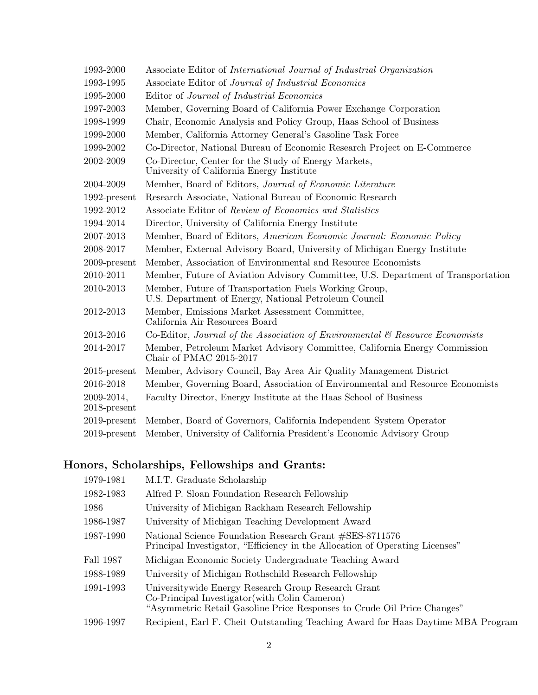| 1993-2000                     | Associate Editor of International Journal of Industrial Organization                                           |
|-------------------------------|----------------------------------------------------------------------------------------------------------------|
| 1993-1995                     | Associate Editor of Journal of Industrial Economics                                                            |
| 1995-2000                     | Editor of Journal of Industrial Economics                                                                      |
| 1997-2003                     | Member, Governing Board of California Power Exchange Corporation                                               |
| 1998-1999                     | Chair, Economic Analysis and Policy Group, Haas School of Business                                             |
| 1999-2000                     | Member, California Attorney General's Gasoline Task Force                                                      |
| 1999-2002                     | Co-Director, National Bureau of Economic Research Project on E-Commerce                                        |
| 2002-2009                     | Co-Director, Center for the Study of Energy Markets,<br>University of California Energy Institute              |
| 2004-2009                     | Member, Board of Editors, Journal of Economic Literature                                                       |
| $1992$ -present               | Research Associate, National Bureau of Economic Research                                                       |
| 1992-2012                     | Associate Editor of Review of Economics and Statistics                                                         |
| 1994-2014                     | Director, University of California Energy Institute                                                            |
| 2007-2013                     | Member, Board of Editors, American Economic Journal: Economic Policy                                           |
| 2008-2017                     | Member, External Advisory Board, University of Michigan Energy Institute                                       |
| $2009$ -present               | Member, Association of Environmental and Resource Economists                                                   |
| 2010-2011                     | Member, Future of Aviation Advisory Committee, U.S. Department of Transportation                               |
| 2010-2013                     | Member, Future of Transportation Fuels Working Group,<br>U.S. Department of Energy, National Petroleum Council |
| 2012-2013                     | Member, Emissions Market Assessment Committee,<br>California Air Resources Board                               |
| 2013-2016                     | Co-Editor, Journal of the Association of Environmental $\mathcal{C}$ Resource Economists                       |
| 2014-2017                     | Member, Petroleum Market Advisory Committee, California Energy Commission<br>Chair of PMAC 2015-2017           |
| $2015$ -present               | Member, Advisory Council, Bay Area Air Quality Management District                                             |
| 2016-2018                     | Member, Governing Board, Association of Environmental and Resource Economists                                  |
| 2009-2014,<br>$2018$ -present | Faculty Director, Energy Institute at the Haas School of Business                                              |
| $2019$ -present               | Member, Board of Governors, California Independent System Operator                                             |
| $2019$ -present               | Member, University of California President's Economic Advisory Group                                           |

# Honors, Scholarships, Fellowships and Grants:

| 1979-1981 | M.I.T. Graduate Scholarship                                                                                                                                                      |
|-----------|----------------------------------------------------------------------------------------------------------------------------------------------------------------------------------|
| 1982-1983 | Alfred P. Sloan Foundation Research Fellowship                                                                                                                                   |
| 1986      | University of Michigan Rackham Research Fellowship                                                                                                                               |
| 1986-1987 | University of Michigan Teaching Development Award                                                                                                                                |
| 1987-1990 | National Science Foundation Research Grant #SES-8711576<br>Principal Investigator, "Efficiency in the Allocation of Operating Licenses"                                          |
| Fall 1987 | Michigan Economic Society Undergraduate Teaching Award                                                                                                                           |
| 1988-1989 | University of Michigan Rothschild Research Fellowship                                                                                                                            |
| 1991-1993 | Universitywide Energy Research Group Research Grant<br>Co-Principal Investigator (with Colin Cameron)<br>"Asymmetric Retail Gasoline Price Responses to Crude Oil Price Changes" |
| 1996-1997 | Recipient, Earl F. Cheit Outstanding Teaching Award for Haas Daytime MBA Program                                                                                                 |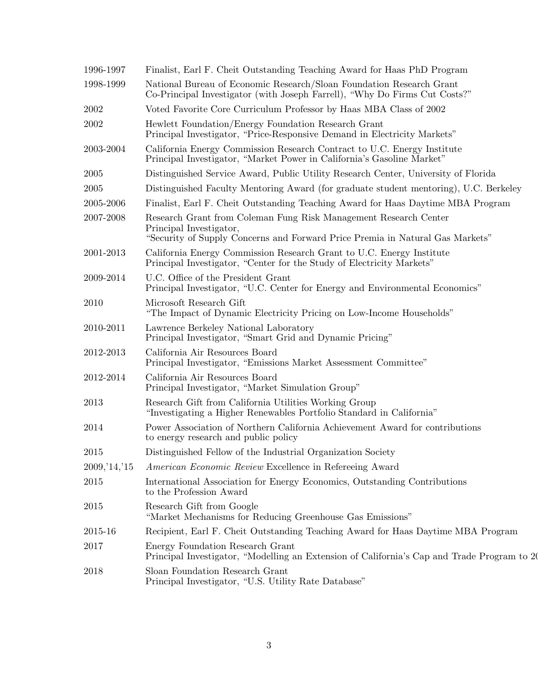| 1996-1997      | Finalist, Earl F. Cheit Outstanding Teaching Award for Haas PhD Program                                                                                                      |
|----------------|------------------------------------------------------------------------------------------------------------------------------------------------------------------------------|
| 1998-1999      | National Bureau of Economic Research/Sloan Foundation Research Grant<br>Co-Principal Investigator (with Joseph Farrell), "Why Do Firms Cut Costs?"                           |
| 2002           | Voted Favorite Core Curriculum Professor by Haas MBA Class of 2002                                                                                                           |
| 2002           | Hewlett Foundation/Energy Foundation Research Grant<br>Principal Investigator, "Price-Responsive Demand in Electricity Markets"                                              |
| 2003-2004      | California Energy Commission Research Contract to U.C. Energy Institute<br>Principal Investigator, "Market Power in California's Gasoline Market"                            |
| 2005           | Distinguished Service Award, Public Utility Research Center, University of Florida                                                                                           |
| 2005           | Distinguished Faculty Mentoring Award (for graduate student mentoring), U.C. Berkeley                                                                                        |
| 2005-2006      | Finalist, Earl F. Cheit Outstanding Teaching Award for Haas Daytime MBA Program                                                                                              |
| 2007-2008      | Research Grant from Coleman Fung Risk Management Research Center<br>Principal Investigator,<br>"Security of Supply Concerns and Forward Price Premia in Natural Gas Markets" |
| 2001-2013      | California Energy Commission Research Grant to U.C. Energy Institute<br>Principal Investigator, "Center for the Study of Electricity Markets"                                |
| 2009-2014      | U.C. Office of the President Grant<br>Principal Investigator, "U.C. Center for Energy and Environmental Economics"                                                           |
| 2010           | Microsoft Research Gift<br>"The Impact of Dynamic Electricity Pricing on Low-Income Households"                                                                              |
| 2010-2011      | Lawrence Berkeley National Laboratory<br>Principal Investigator, "Smart Grid and Dynamic Pricing"                                                                            |
| 2012-2013      | California Air Resources Board<br>Principal Investigator, "Emissions Market Assessment Committee"                                                                            |
| 2012-2014      | California Air Resources Board<br>Principal Investigator, "Market Simulation Group"                                                                                          |
| 2013           | Research Gift from California Utilities Working Group<br>"Investigating a Higher Renewables Portfolio Standard in California"                                                |
| 2014           | Power Association of Northern California Achievement Award for contributions<br>to energy research and public policy                                                         |
| 2015           | Distinguished Fellow of the Industrial Organization Society                                                                                                                  |
| 2009, '14, '15 | <i>American Economic Review</i> Excellence in Refereeing Award                                                                                                               |
| 2015           | International Association for Energy Economics, Outstanding Contributions<br>to the Profession Award                                                                         |
| 2015           | Research Gift from Google<br>"Market Mechanisms for Reducing Greenhouse Gas Emissions"                                                                                       |
| 2015-16        | Recipient, Earl F. Cheit Outstanding Teaching Award for Haas Daytime MBA Program                                                                                             |
| 2017           | Energy Foundation Research Grant<br>Principal Investigator, "Modelling an Extension of California's Cap and Trade Program to 20                                              |
| 2018           | Sloan Foundation Research Grant<br>Principal Investigator, "U.S. Utility Rate Database"                                                                                      |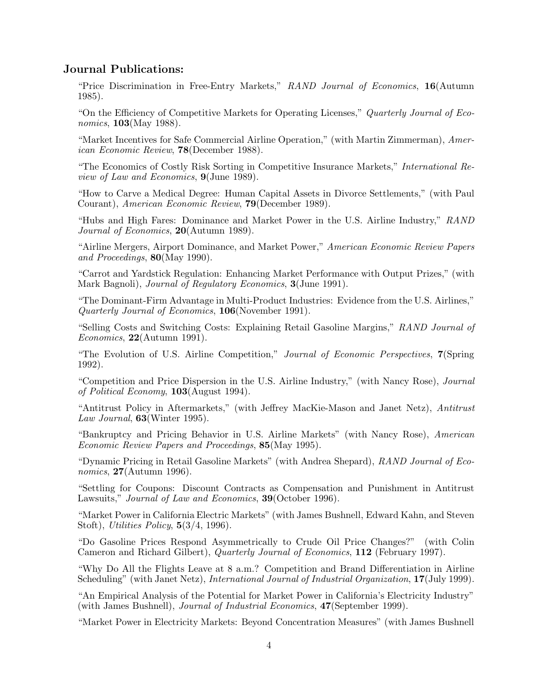## Journal Publications:

"Price Discrimination in Free-Entry Markets," RAND Journal of Economics, 16(Autumn 1985).

"On the Efficiency of Competitive Markets for Operating Licenses," Quarterly Journal of Economics, **103**(May 1988).

"Market Incentives for Safe Commercial Airline Operation," (with Martin Zimmerman), American Economic Review, 78(December 1988).

"The Economics of Costly Risk Sorting in Competitive Insurance Markets," International Review of Law and Economics, 9(June 1989).

"How to Carve a Medical Degree: Human Capital Assets in Divorce Settlements," (with Paul Courant), American Economic Review, 79(December 1989).

"Hubs and High Fares: Dominance and Market Power in the U.S. Airline Industry," RAND Journal of Economics, 20(Autumn 1989).

"Airline Mergers, Airport Dominance, and Market Power," American Economic Review Papers and Proceedings, 80(May 1990).

"Carrot and Yardstick Regulation: Enhancing Market Performance with Output Prizes," (with Mark Bagnoli), Journal of Regulatory Economics, 3(June 1991).

"The Dominant-Firm Advantage in Multi-Product Industries: Evidence from the U.S. Airlines," Quarterly Journal of Economics, 106(November 1991).

"Selling Costs and Switching Costs: Explaining Retail Gasoline Margins," RAND Journal of  $Economics, 22(Autumn 1991).$ 

"The Evolution of U.S. Airline Competition," Journal of Economic Perspectives, 7(Spring 1992).

"Competition and Price Dispersion in the U.S. Airline Industry," (with Nancy Rose), Journal of Political Economy, 103(August 1994).

"Antitrust Policy in Aftermarkets," (with Jeffrey MacKie-Mason and Janet Netz), Antitrust Law Journal, 63(Winter 1995).

"Bankruptcy and Pricing Behavior in U.S. Airline Markets" (with Nancy Rose), American Economic Review Papers and Proceedings, 85(May 1995).

"Dynamic Pricing in Retail Gasoline Markets" (with Andrea Shepard), RAND Journal of Economics, 27(Autumn 1996).

"Settling for Coupons: Discount Contracts as Compensation and Punishment in Antitrust Lawsuits," *Journal of Law and Economics*, **39**(October 1996).

"Market Power in California Electric Markets" (with James Bushnell, Edward Kahn, and Steven Stoft), Utilities Policy, 5(3/4, 1996).

"Do Gasoline Prices Respond Asymmetrically to Crude Oil Price Changes?" (with Colin Cameron and Richard Gilbert), Quarterly Journal of Economics, 112 (February 1997).

"Why Do All the Flights Leave at 8 a.m.? Competition and Brand Differentiation in Airline Scheduling" (with Janet Netz), *International Journal of Industrial Organization*, 17(July 1999).

"An Empirical Analysis of the Potential for Market Power in California's Electricity Industry" (with James Bushnell), Journal of Industrial Economics, 47(September 1999).

"Market Power in Electricity Markets: Beyond Concentration Measures" (with James Bushnell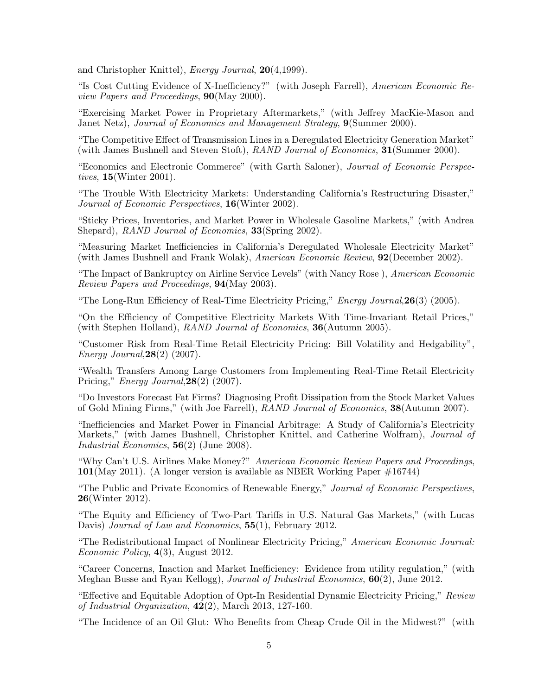and Christopher Knittel), Energy Journal, 20(4,1999).

"Is Cost Cutting Evidence of X-Inefficiency?" (with Joseph Farrell), American Economic Review Papers and Proceedings, 90(May 2000).

"Exercising Market Power in Proprietary Aftermarkets," (with Jeffrey MacKie-Mason and Janet Netz), Journal of Economics and Management Strategy,  $9$ (Summer 2000).

"The Competitive Effect of Transmission Lines in a Deregulated Electricity Generation Market" (with James Bushnell and Steven Stoft), RAND Journal of Economics, 31(Summer 2000).

"Economics and Electronic Commerce" (with Garth Saloner), Journal of Economic Perspectives, 15(Winter 2001).

"The Trouble With Electricity Markets: Understanding California's Restructuring Disaster," Journal of Economic Perspectives, 16(Winter 2002).

"Sticky Prices, Inventories, and Market Power in Wholesale Gasoline Markets," (with Andrea Shepard), RAND Journal of Economics, 33(Spring 2002).

"Measuring Market Inefficiencies in California's Deregulated Wholesale Electricity Market" (with James Bushnell and Frank Wolak), American Economic Review, 92(December 2002).

"The Impact of Bankruptcy on Airline Service Levels" (with Nancy Rose ), American Economic Review Papers and Proceedings, 94(May 2003).

"The Long-Run Efficiency of Real-Time Electricity Pricing," *Energy Journal*,  $26(3)$  (2005).

"On the Efficiency of Competitive Electricity Markets With Time-Invariant Retail Prices," (with Stephen Holland), RAND Journal of Economics, 36(Autumn 2005).

"Customer Risk from Real-Time Retail Electricity Pricing: Bill Volatility and Hedgability", Energy Journal,  $28(2)$  (2007).

"Wealth Transfers Among Large Customers from Implementing Real-Time Retail Electricity Pricing," *Energy Journal*,  $28(2)$ <sup> $(2007)$ </sup>.

"Do Investors Forecast Fat Firms? Diagnosing Profit Dissipation from the Stock Market Values of Gold Mining Firms," (with Joe Farrell), RAND Journal of Economics, 38(Autumn 2007).

"Inefficiencies and Market Power in Financial Arbitrage: A Study of California's Electricity Markets," (with James Bushnell, Christopher Knittel, and Catherine Wolfram), Journal of Industrial Economics, 56(2) (June 2008).

"Why Can't U.S. Airlines Make Money?" American Economic Review Papers and Proceedings, 101(May 2011). (A longer version is available as NBER Working Paper #16744)

"The Public and Private Economics of Renewable Energy," Journal of Economic Perspectives, 26(Winter 2012).

"The Equity and Efficiency of Two-Part Tariffs in U.S. Natural Gas Markets," (with Lucas Davis) Journal of Law and Economics, 55(1), February 2012.

"The Redistributional Impact of Nonlinear Electricity Pricing," American Economic Journal: Economic Policy, 4(3), August 2012.

"Career Concerns, Inaction and Market Inefficiency: Evidence from utility regulation," (with Meghan Busse and Ryan Kellogg), Journal of Industrial Economics, 60(2), June 2012.

"Effective and Equitable Adoption of Opt-In Residential Dynamic Electricity Pricing," Review of Industrial Organization, 42(2), March 2013, 127-160.

"The Incidence of an Oil Glut: Who Benefits from Cheap Crude Oil in the Midwest?" (with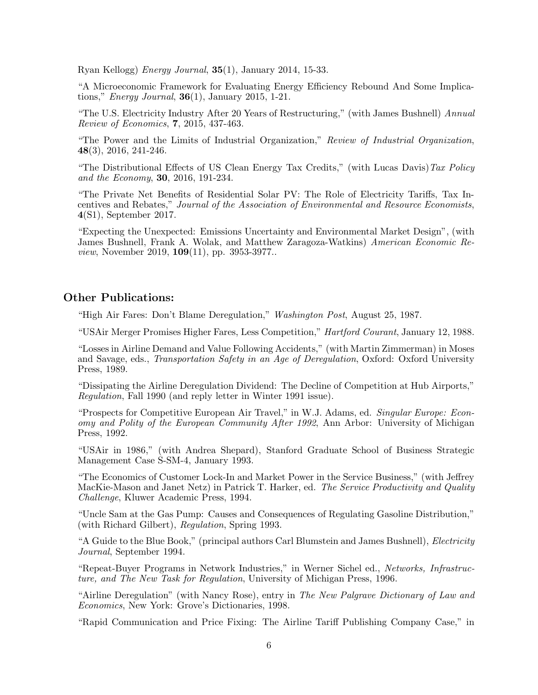Ryan Kellogg) Energy Journal, 35(1), January 2014, 15-33.

"A Microeconomic Framework for Evaluating Energy Efficiency Rebound And Some Implications," Energy Journal,  $36(1)$ , January 2015, 1-21.

"The U.S. Electricity Industry After 20 Years of Restructuring," (with James Bushnell) Annual Review of Economics, 7, 2015, 437-463.

"The Power and the Limits of Industrial Organization," Review of Industrial Organization, 48(3), 2016, 241-246.

"The Distributional Effects of US Clean Energy Tax Credits," (with Lucas Davis) Tax Policy and the Economy, 30, 2016, 191-234.

"The Private Net Benefits of Residential Solar PV: The Role of Electricity Tariffs, Tax Incentives and Rebates," Journal of the Association of Environmental and Resource Economists, 4(S1), September 2017.

"Expecting the Unexpected: Emissions Uncertainty and Environmental Market Design", (with James Bushnell, Frank A. Wolak, and Matthew Zaragoza-Watkins) American Economic Review, November 2019, 109(11), pp. 3953-3977..

#### Other Publications:

"High Air Fares: Don't Blame Deregulation," Washington Post, August 25, 1987.

"USAir Merger Promises Higher Fares, Less Competition," Hartford Courant, January 12, 1988.

"Losses in Airline Demand and Value Following Accidents," (with Martin Zimmerman) in Moses and Savage, eds., Transportation Safety in an Age of Deregulation, Oxford: Oxford University Press, 1989.

"Dissipating the Airline Deregulation Dividend: The Decline of Competition at Hub Airports," Regulation, Fall 1990 (and reply letter in Winter 1991 issue).

"Prospects for Competitive European Air Travel," in W.J. Adams, ed. Singular Europe: Economy and Polity of the European Community After 1992, Ann Arbor: University of Michigan Press, 1992.

"USAir in 1986," (with Andrea Shepard), Stanford Graduate School of Business Strategic Management Case S-SM-4, January 1993.

"The Economics of Customer Lock-In and Market Power in the Service Business," (with Jeffrey MacKie-Mason and Janet Netz) in Patrick T. Harker, ed. The Service Productivity and Quality Challenge, Kluwer Academic Press, 1994.

"Uncle Sam at the Gas Pump: Causes and Consequences of Regulating Gasoline Distribution," (with Richard Gilbert), Regulation, Spring 1993.

"A Guide to the Blue Book," (principal authors Carl Blumstein and James Bushnell), Electricity Journal, September 1994.

"Repeat-Buyer Programs in Network Industries," in Werner Sichel ed., Networks, Infrastructure, and The New Task for Regulation, University of Michigan Press, 1996.

"Airline Deregulation" (with Nancy Rose), entry in The New Palgrave Dictionary of Law and Economics, New York: Grove's Dictionaries, 1998.

"Rapid Communication and Price Fixing: The Airline Tariff Publishing Company Case," in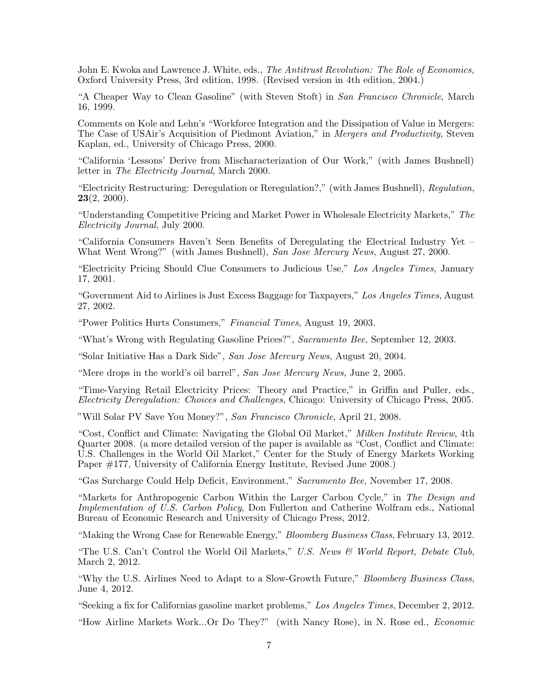John E. Kwoka and Lawrence J. White, eds., The Antitrust Revolution: The Role of Economics, Oxford University Press, 3rd edition, 1998. (Revised version in 4th edition, 2004.)

"A Cheaper Way to Clean Gasoline" (with Steven Stoft) in San Francisco Chronicle, March 16, 1999.

Comments on Kole and Lehn's "Workforce Integration and the Dissipation of Value in Mergers: The Case of USAir's Acquisition of Piedmont Aviation," in Mergers and Productivity, Steven Kaplan, ed., University of Chicago Press, 2000.

"California 'Lessons' Derive from Mischaracterization of Our Work," (with James Bushnell) letter in The Electricity Journal, March 2000.

"Electricity Restructuring: Deregulation or Reregulation?," (with James Bushnell), Regulation,  $23(2, 2000)$ .

"Understanding Competitive Pricing and Market Power in Wholesale Electricity Markets," The Electricity Journal, July 2000.

"California Consumers Haven't Seen Benefits of Deregulating the Electrical Industry Yet – What Went Wrong?" (with James Bushnell), San Jose Mercury News, August 27, 2000.

"Electricity Pricing Should Clue Consumers to Judicious Use," Los Angeles Times, January 17, 2001.

"Government Aid to Airlines is Just Excess Baggage for Taxpayers," Los Angeles Times, August 27, 2002.

"Power Politics Hurts Consumers," Financial Times, August 19, 2003.

"What's Wrong with Regulating Gasoline Prices?", Sacramento Bee, September 12, 2003.

"Solar Initiative Has a Dark Side", San Jose Mercury News, August 20, 2004.

"Mere drops in the world's oil barrel", San Jose Mercury News, June 2, 2005.

"Time-Varying Retail Electricity Prices: Theory and Practice," in Griffin and Puller, eds., Electricity Deregulation: Choices and Challenges, Chicago: University of Chicago Press, 2005.

"Will Solar PV Save You Money?", San Francisco Chronicle, April 21, 2008.

"Cost, Conflict and Climate: Navigating the Global Oil Market," Milken Institute Review, 4th Quarter 2008. (a more detailed version of the paper is available as "Cost, Conflict and Climate: U.S. Challenges in the World Oil Market," Center for the Study of Energy Markets Working Paper #177, University of California Energy Institute, Revised June 2008.)

"Gas Surcharge Could Help Deficit, Environment," Sacramento Bee, November 17, 2008.

"Markets for Anthropogenic Carbon Within the Larger Carbon Cycle," in The Design and Implementation of U.S. Carbon Policy, Don Fullerton and Catherine Wolfram eds., National Bureau of Economic Research and University of Chicago Press, 2012.

"Making the Wrong Case for Renewable Energy," Bloomberg Business Class, February 13, 2012.

"The U.S. Can't Control the World Oil Markets," U.S. News  $\mathcal{C}$  World Report, Debate Club, March 2, 2012.

"Why the U.S. Airlines Need to Adapt to a Slow-Growth Future," Bloomberg Business Class, June 4, 2012.

"Seeking a fix for Californias gasoline market problems," Los Angeles Times, December 2, 2012.

"How Airline Markets Work...Or Do They?" (with Nancy Rose), in N. Rose ed., Economic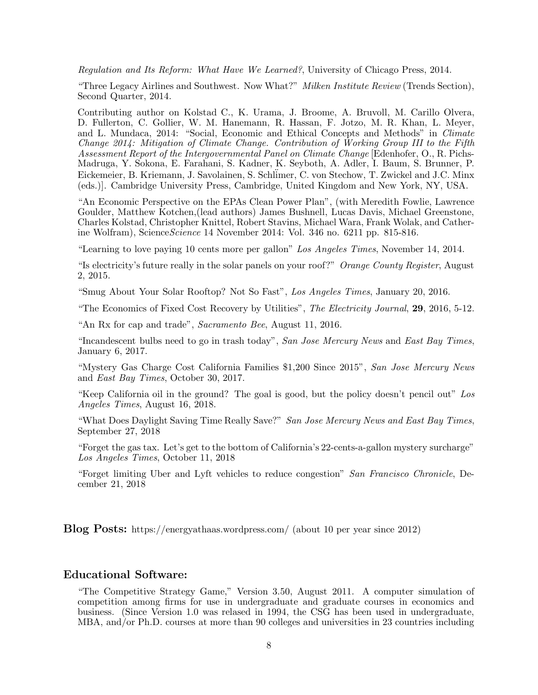Regulation and Its Reform: What Have We Learned?, University of Chicago Press, 2014.

"Three Legacy Airlines and Southwest. Now What?" Milken Institute Review (Trends Section), Second Quarter, 2014.

Contributing author on Kolstad C., K. Urama, J. Broome, A. Bruvoll, M. Carillo Olvera, D. Fullerton, C. Gollier, W. M. Hanemann, R. Hassan, F. Jotzo, M. R. Khan, L. Meyer, and L. Mundaca, 2014: "Social, Economic and Ethical Concepts and Methods" in Climate Change 2014: Mitigation of Climate Change. Contribution of Working Group III to the Fifth Assessment Report of the Intergovernmental Panel on Climate Change [Edenhofer, O., R. Pichs-Madruga, Y. Sokona, E. Farahani, S. Kadner, K. Seyboth, A. Adler, I. Baum, S. Brunner, P. Eickemeier, B. Kriemann, J. Savolainen, S. Schl¨imer, C. von Stechow, T. Zwickel and J.C. Minx (eds.)]. Cambridge University Press, Cambridge, United Kingdom and New York, NY, USA.

"An Economic Perspective on the EPAs Clean Power Plan", (with Meredith Fowlie, Lawrence Goulder, Matthew Kotchen,(lead authors) James Bushnell, Lucas Davis, Michael Greenstone, Charles Kolstad, Christopher Knittel, Robert Stavins, Michael Wara, Frank Wolak, and Catherine Wolfram), Science Science 14 November 2014: Vol. 346 no. 6211 pp. 815-816.

"Learning to love paying 10 cents more per gallon" Los Angeles Times, November 14, 2014.

"Is electricity's future really in the solar panels on your roof?" Orange County Register, August 2, 2015.

"Smug About Your Solar Rooftop? Not So Fast", Los Angeles Times, January 20, 2016.

"The Economics of Fixed Cost Recovery by Utilities", The Electricity Journal, 29, 2016, 5-12.

"An Rx for cap and trade", Sacramento Bee, August 11, 2016.

"Incandescent bulbs need to go in trash today", San Jose Mercury News and East Bay Times, January 6, 2017.

"Mystery Gas Charge Cost California Families \$1,200 Since 2015", San Jose Mercury News and East Bay Times, October 30, 2017.

"Keep California oil in the ground? The goal is good, but the policy doesn't pencil out" Los Angeles Times, August 16, 2018.

"What Does Daylight Saving Time Really Save?" San Jose Mercury News and East Bay Times, September 27, 2018

"Forget the gas tax. Let's get to the bottom of California's 22-cents-a-gallon mystery surcharge" Los Angeles Times, October 11, 2018

"Forget limiting Uber and Lyft vehicles to reduce congestion" San Francisco Chronicle, December 21, 2018

Blog Posts: https://energyathaas.wordpress.com/ (about 10 per year since 2012)

#### Educational Software:

"The Competitive Strategy Game," Version 3.50, August 2011. A computer simulation of competition among firms for use in undergraduate and graduate courses in economics and business. (Since Version 1.0 was relased in 1994, the CSG has been used in undergraduate, MBA, and/or Ph.D. courses at more than 90 colleges and universities in 23 countries including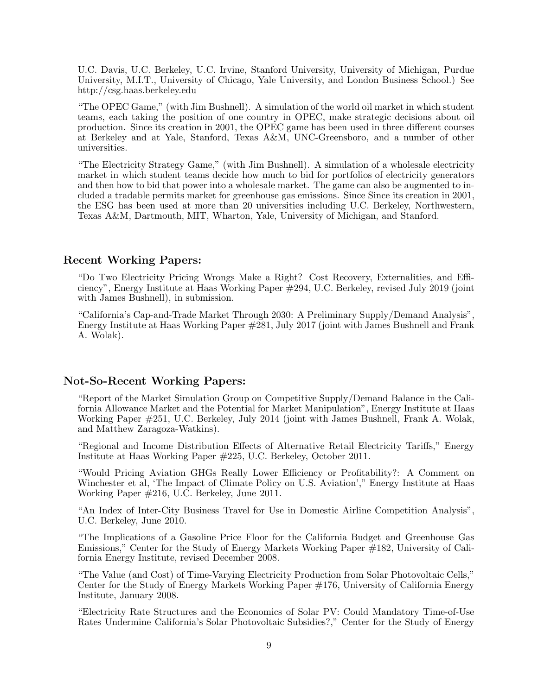U.C. Davis, U.C. Berkeley, U.C. Irvine, Stanford University, University of Michigan, Purdue University, M.I.T., University of Chicago, Yale University, and London Business School.) See http://csg.haas.berkeley.edu

"The OPEC Game," (with Jim Bushnell). A simulation of the world oil market in which student teams, each taking the position of one country in OPEC, make strategic decisions about oil production. Since its creation in 2001, the OPEC game has been used in three different courses at Berkeley and at Yale, Stanford, Texas A&M, UNC-Greensboro, and a number of other universities.

"The Electricity Strategy Game," (with Jim Bushnell). A simulation of a wholesale electricity market in which student teams decide how much to bid for portfolios of electricity generators and then how to bid that power into a wholesale market. The game can also be augmented to included a tradable permits market for greenhouse gas emissions. Since Since its creation in 2001, the ESG has been used at more than 20 universities including U.C. Berkeley, Northwestern, Texas A&M, Dartmouth, MIT, Wharton, Yale, University of Michigan, and Stanford.

# Recent Working Papers:

"Do Two Electricity Pricing Wrongs Make a Right? Cost Recovery, Externalities, and Efficiency", Energy Institute at Haas Working Paper #294, U.C. Berkeley, revised July 2019 (joint with James Bushnell), in submission.

"California's Cap-and-Trade Market Through 2030: A Preliminary Supply/Demand Analysis", Energy Institute at Haas Working Paper #281, July 2017 (joint with James Bushnell and Frank A. Wolak).

#### Not-So-Recent Working Papers:

"Report of the Market Simulation Group on Competitive Supply/Demand Balance in the California Allowance Market and the Potential for Market Manipulation", Energy Institute at Haas Working Paper #251, U.C. Berkeley, July 2014 (joint with James Bushnell, Frank A. Wolak, and Matthew Zaragoza-Watkins).

"Regional and Income Distribution Effects of Alternative Retail Electricity Tariffs," Energy Institute at Haas Working Paper #225, U.C. Berkeley, October 2011.

"Would Pricing Aviation GHGs Really Lower Efficiency or Profitability?: A Comment on Winchester et al, 'The Impact of Climate Policy on U.S. Aviation'," Energy Institute at Haas Working Paper #216, U.C. Berkeley, June 2011.

"An Index of Inter-City Business Travel for Use in Domestic Airline Competition Analysis", U.C. Berkeley, June 2010.

"The Implications of a Gasoline Price Floor for the California Budget and Greenhouse Gas Emissions," Center for the Study of Energy Markets Working Paper #182, University of California Energy Institute, revised December 2008.

"The Value (and Cost) of Time-Varying Electricity Production from Solar Photovoltaic Cells," Center for the Study of Energy Markets Working Paper #176, University of California Energy Institute, January 2008.

"Electricity Rate Structures and the Economics of Solar PV: Could Mandatory Time-of-Use Rates Undermine California's Solar Photovoltaic Subsidies?," Center for the Study of Energy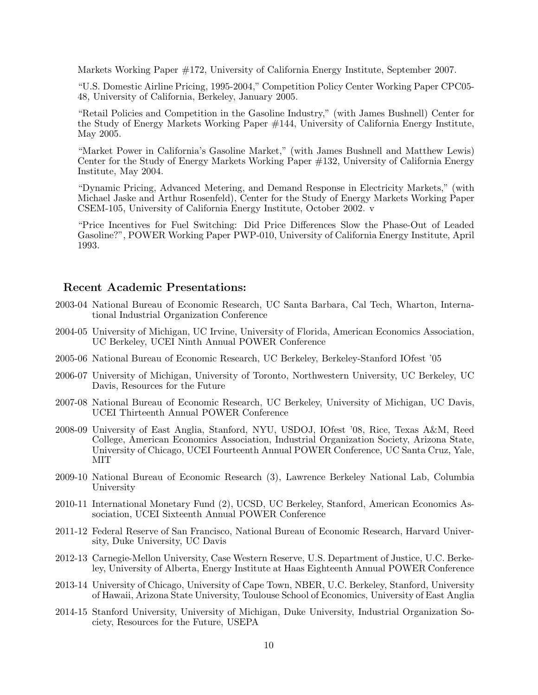Markets Working Paper #172, University of California Energy Institute, September 2007.

"U.S. Domestic Airline Pricing, 1995-2004," Competition Policy Center Working Paper CPC05- 48, University of California, Berkeley, January 2005.

"Retail Policies and Competition in the Gasoline Industry," (with James Bushnell) Center for the Study of Energy Markets Working Paper #144, University of California Energy Institute, May 2005.

"Market Power in California's Gasoline Market," (with James Bushnell and Matthew Lewis) Center for the Study of Energy Markets Working Paper #132, University of California Energy Institute, May 2004.

"Dynamic Pricing, Advanced Metering, and Demand Response in Electricity Markets," (with Michael Jaske and Arthur Rosenfeld), Center for the Study of Energy Markets Working Paper CSEM-105, University of California Energy Institute, October 2002. v

"Price Incentives for Fuel Switching: Did Price Differences Slow the Phase-Out of Leaded Gasoline?", POWER Working Paper PWP-010, University of California Energy Institute, April 1993.

## Recent Academic Presentations:

- 2003-04 National Bureau of Economic Research, UC Santa Barbara, Cal Tech, Wharton, International Industrial Organization Conference
- 2004-05 University of Michigan, UC Irvine, University of Florida, American Economics Association, UC Berkeley, UCEI Ninth Annual POWER Conference
- 2005-06 National Bureau of Economic Research, UC Berkeley, Berkeley-Stanford IOfest '05
- 2006-07 University of Michigan, University of Toronto, Northwestern University, UC Berkeley, UC Davis, Resources for the Future
- 2007-08 National Bureau of Economic Research, UC Berkeley, University of Michigan, UC Davis, UCEI Thirteenth Annual POWER Conference
- 2008-09 University of East Anglia, Stanford, NYU, USDOJ, IOfest '08, Rice, Texas A&M, Reed College, American Economics Association, Industrial Organization Society, Arizona State, University of Chicago, UCEI Fourteenth Annual POWER Conference, UC Santa Cruz, Yale, MIT
- 2009-10 National Bureau of Economic Research (3), Lawrence Berkeley National Lab, Columbia University
- 2010-11 International Monetary Fund (2), UCSD, UC Berkeley, Stanford, American Economics Association, UCEI Sixteenth Annual POWER Conference
- 2011-12 Federal Reserve of San Francisco, National Bureau of Economic Research, Harvard University, Duke University, UC Davis
- 2012-13 Carnegie-Mellon University, Case Western Reserve, U.S. Department of Justice, U.C. Berkeley, University of Alberta, Energy Institute at Haas Eighteenth Annual POWER Conference
- 2013-14 University of Chicago, University of Cape Town, NBER, U.C. Berkeley, Stanford, University of Hawaii, Arizona State University, Toulouse School of Economics, University of East Anglia
- 2014-15 Stanford University, University of Michigan, Duke University, Industrial Organization Society, Resources for the Future, USEPA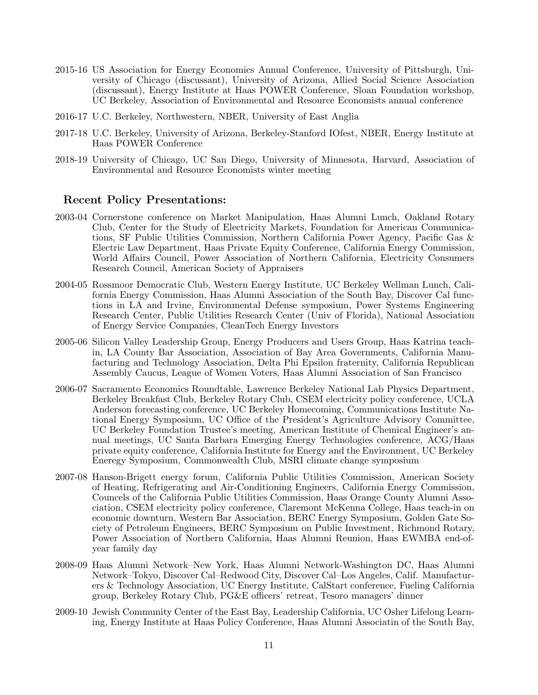- 2015-16 US Association for Energy Economics Annual Conference, University of Pittsburgh, University of Chicago (discussant), University of Arizona, Allied Social Science Association (discussant), Energy Institute at Haas POWER Conference, Sloan Foundation workshop, UC Berkeley, Association of Environmental and Resource Economists annual conference
- 2016-17 U.C. Berkeley, Northwestern, NBER, University of East Anglia
- 2017-18 U.C. Berkeley, University of Arizona, Berkeley-Stanford IOfest, NBER, Energy Institute at Haas POWER Conference
- 2018-19 University of Chicago, UC San Diego, University of Minnesota, Harvard, Association of Environmental and Resource Economists winter meeting

#### Recent Policy Presentations:

- 2003-04 Cornerstone conference on Market Manipulation, Haas Alumni Lunch, Oakland Rotary Club, Center for the Study of Electricity Markets, Foundation for American Communications, SF Public Utilities Commission, Northern California Power Agency, Pacific Gas & Electric Law Department, Haas Private Equity Conference, California Energy Commission, World Affairs Council, Power Association of Northern California, Electricity Consumers Research Council, American Society of Appraisers
- 2004-05 Rossmoor Democratic Club, Western Energy Institute, UC Berkeley Wellman Lunch, California Energy Commission, Haas Alumni Association of the South Bay, Discover Cal functions in LA and Irvine, Environmental Defense symposium, Power Systems Engineering Research Center, Public Utilities Research Center (Univ of Florida), National Association of Energy Service Companies, CleanTech Energy Investors
- 2005-06 Silicon Valley Leadership Group, Energy Producers and Users Group, Haas Katrina teachin, LA County Bar Association, Association of Bay Area Governments, California Manufacturing and Technology Association, Delta Phi Epsilon fraternity, California Republican Assembly Caucus, League of Women Voters, Haas Alumni Association of San Francisco
- 2006-07 Sacramento Economics Roundtable, Lawrence Berkeley National Lab Physics Department, Berkeley Breakfast Club, Berkeley Rotary Club, CSEM electricity policy conference, UCLA Anderson forecasting conference, UC Berkeley Homecoming, Communications Institute National Energy Symposium, UC Office of the President's Agriculture Advisory Committee, UC Berkeley Foundation Trustee's meeting, American Institute of Chemical Engineer's annual meetings, UC Santa Barbara Emerging Energy Technologies conference, ACG/Haas private equity conference, California Institute for Energy and the Environment, UC Berkeley Eneregy Symposium, Commonwealth Club, MSRI climate change symposium
- 2007-08 Hanson-Brigett energy forum, California Public Utilities Commission, American Society of Heating, Refrigerating and Air-Conditioning Engineers, California Energy Commission, Councels of the California Public Utilities Commission, Haas Orange County Alumni Association, CSEM electricity policy conference, Claremont McKenna College, Haas teach-in on economic downturn, Western Bar Association, BERC Energy Symposium, Golden Gate Society of Petroleum Engineers, BERC Symposium on Public Investment, Richmond Rotary, Power Association of Northern California, Haas Alumni Reunion, Haas EWMBA end-ofyear family day
- 2008-09 Haas Alumni Network–New York, Haas Alumni Network-Washington DC, Haas Alumni Network–Tokyo, Discover Cal–Redwood City, Discover Cal–Los Angeles, Calif. Manufacturers & Technology Association, UC Energy Institute, CalStart conference, Fueling California group, Berkeley Rotary Club, PG&E officers' retreat, Tesoro managers' dinner
- 2009-10 Jewish Community Center of the East Bay, Leadership California, UC Osher Lifelong Learning, Energy Institute at Haas Policy Conference, Haas Alumni Associatin of the South Bay,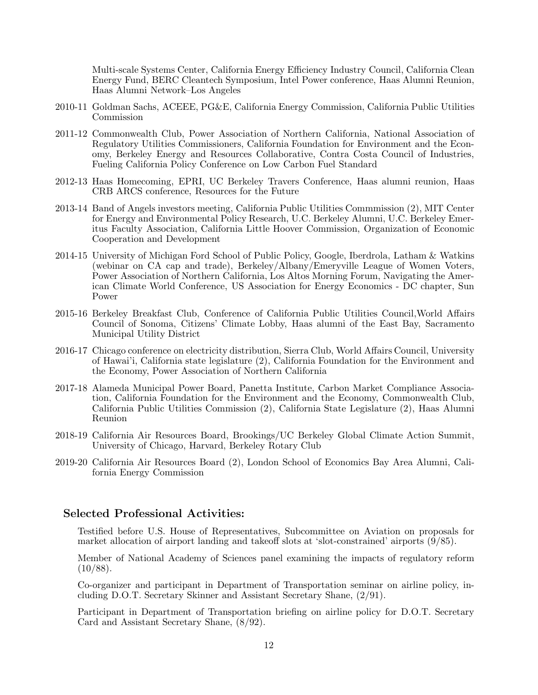Multi-scale Systems Center, California Energy Efficiency Industry Council, California Clean Energy Fund, BERC Cleantech Symposium, Intel Power conference, Haas Alumni Reunion, Haas Alumni Network–Los Angeles

- 2010-11 Goldman Sachs, ACEEE, PG&E, California Energy Commission, California Public Utilities Commission
- 2011-12 Commonwealth Club, Power Association of Northern California, National Association of Regulatory Utilities Commissioners, California Foundation for Environment and the Economy, Berkeley Energy and Resources Collaborative, Contra Costa Council of Industries, Fueling California Policy Conference on Low Carbon Fuel Standard
- 2012-13 Haas Homecoming, EPRI, UC Berkeley Travers Conference, Haas alumni reunion, Haas CRB ARCS conference, Resources for the Future
- 2013-14 Band of Angels investors meeting, California Public Utilities Commmission (2), MIT Center for Energy and Environmental Policy Research, U.C. Berkeley Alumni, U.C. Berkeley Emeritus Faculty Association, California Little Hoover Commission, Organization of Economic Cooperation and Development
- 2014-15 University of Michigan Ford School of Public Policy, Google, Iberdrola, Latham & Watkins (webinar on CA cap and trade), Berkeley/Albany/Emeryville League of Women Voters, Power Association of Northern California, Los Altos Morning Forum, Navigating the American Climate World Conference, US Association for Energy Economics - DC chapter, Sun Power
- 2015-16 Berkeley Breakfast Club, Conference of California Public Utilities Council,World Affairs Council of Sonoma, Citizens' Climate Lobby, Haas alumni of the East Bay, Sacramento Municipal Utility District
- 2016-17 Chicago conference on electricity distribution, Sierra Club, World Affairs Council, University of Hawai'i, California state legislature (2), California Foundation for the Environment and the Economy, Power Association of Northern California
- 2017-18 Alameda Municipal Power Board, Panetta Institute, Carbon Market Compliance Association, California Foundation for the Environment and the Economy, Commonwealth Club, California Public Utilities Commission (2), California State Legislature (2), Haas Alumni Reunion
- 2018-19 California Air Resources Board, Brookings/UC Berkeley Global Climate Action Summit, University of Chicago, Harvard, Berkeley Rotary Club
- 2019-20 California Air Resources Board (2), London School of Economics Bay Area Alumni, California Energy Commission

## Selected Professional Activities:

Testified before U.S. House of Representatives, Subcommittee on Aviation on proposals for market allocation of airport landing and takeoff slots at 'slot-constrained' airports  $(\bar{9}/85)$ .

Member of National Academy of Sciences panel examining the impacts of regulatory reform  $(10/88).$ 

Co-organizer and participant in Department of Transportation seminar on airline policy, including D.O.T. Secretary Skinner and Assistant Secretary Shane, (2/91).

Participant in Department of Transportation briefing on airline policy for D.O.T. Secretary Card and Assistant Secretary Shane, (8/92).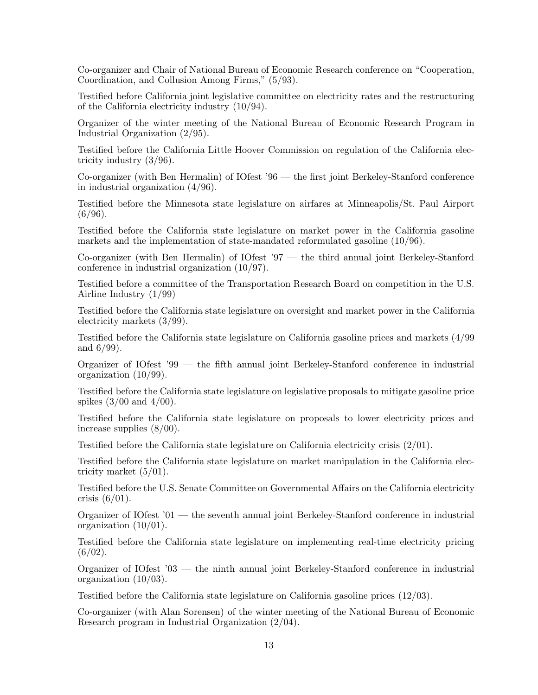Co-organizer and Chair of National Bureau of Economic Research conference on "Cooperation, Coordination, and Collusion Among Firms," (5/93).

Testified before California joint legislative committee on electricity rates and the restructuring of the California electricity industry (10/94).

Organizer of the winter meeting of the National Bureau of Economic Research Program in Industrial Organization (2/95).

Testified before the California Little Hoover Commission on regulation of the California electricity industry (3/96).

Co-organizer (with Ben Hermalin) of IOfest '96 — the first joint Berkeley-Stanford conference in industrial organization (4/96).

Testified before the Minnesota state legislature on airfares at Minneapolis/St. Paul Airport  $(6/96)$ .

Testified before the California state legislature on market power in the California gasoline markets and the implementation of state-mandated reformulated gasoline (10/96).

Co-organizer (with Ben Hermalin) of IOfest '97 — the third annual joint Berkeley-Stanford conference in industrial organization (10/97).

Testified before a committee of the Transportation Research Board on competition in the U.S. Airline Industry (1/99)

Testified before the California state legislature on oversight and market power in the California electricity markets (3/99).

Testified before the California state legislature on California gasoline prices and markets (4/99 and 6/99).

Organizer of IOfest '99 — the fifth annual joint Berkeley-Stanford conference in industrial organization (10/99).

Testified before the California state legislature on legislative proposals to mitigate gasoline price spikes  $(3/00$  and  $4/00$ .

Testified before the California state legislature on proposals to lower electricity prices and increase supplies (8/00).

Testified before the California state legislature on California electricity crisis (2/01).

Testified before the California state legislature on market manipulation in the California electricity market (5/01).

Testified before the U.S. Senate Committee on Governmental Affairs on the California electricity crisis  $(6/01)$ .

Organizer of IOfest '01 — the seventh annual joint Berkeley-Stanford conference in industrial organization (10/01).

Testified before the California state legislature on implementing real-time electricity pricing  $(6/02)$ .

Organizer of IOfest '03 — the ninth annual joint Berkeley-Stanford conference in industrial organization (10/03).

Testified before the California state legislature on California gasoline prices (12/03).

Co-organizer (with Alan Sorensen) of the winter meeting of the National Bureau of Economic Research program in Industrial Organization (2/04).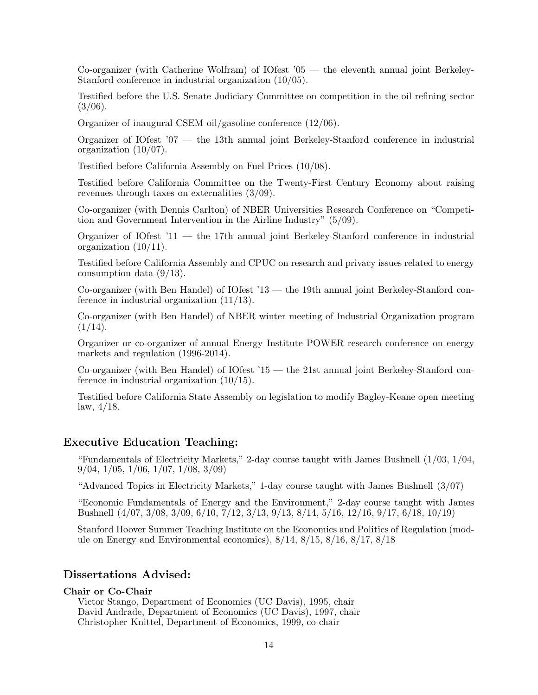Co-organizer (with Catherine Wolfram) of IOfest '05 — the eleventh annual joint Berkeley-Stanford conference in industrial organization (10/05).

Testified before the U.S. Senate Judiciary Committee on competition in the oil refining sector  $(3/06).$ 

Organizer of inaugural CSEM oil/gasoline conference (12/06).

Organizer of IOfest '07 — the 13th annual joint Berkeley-Stanford conference in industrial organization (10/07).

Testified before California Assembly on Fuel Prices (10/08).

Testified before California Committee on the Twenty-First Century Economy about raising revenues through taxes on externalities (3/09).

Co-organizer (with Dennis Carlton) of NBER Universities Research Conference on "Competition and Government Intervention in the Airline Industry" (5/09).

Organizer of IOfest '11 — the 17th annual joint Berkeley-Stanford conference in industrial organization (10/11).

Testified before California Assembly and CPUC on research and privacy issues related to energy consumption data (9/13).

Co-organizer (with Ben Handel) of IOfest '13 — the 19th annual joint Berkeley-Stanford conference in industrial organization (11/13).

Co-organizer (with Ben Handel) of NBER winter meeting of Industrial Organization program  $(1/14).$ 

Organizer or co-organizer of annual Energy Institute POWER research conference on energy markets and regulation (1996-2014).

Co-organizer (with Ben Handel) of IOfest '15 — the 21st annual joint Berkeley-Stanford conference in industrial organization (10/15).

Testified before California State Assembly on legislation to modify Bagley-Keane open meeting  $law, 4/18.$ 

#### Executive Education Teaching:

"Fundamentals of Electricity Markets," 2-day course taught with James Bushnell (1/03, 1/04, 9/04, 1/05, 1/06, 1/07, 1/08, 3/09)

"Advanced Topics in Electricity Markets," 1-day course taught with James Bushnell (3/07)

"Economic Fundamentals of Energy and the Environment," 2-day course taught with James Bushnell (4/07, 3/08, 3/09, 6/10, 7/12, 3/13, 9/13, 8/14, 5/16, 12/16, 9/17, 6/18, 10/19)

Stanford Hoover Summer Teaching Institute on the Economics and Politics of Regulation (module on Energy and Environmental economics), 8/14, 8/15, 8/16, 8/17, 8/18

#### Dissertations Advised:

#### Chair or Co-Chair

Victor Stango, Department of Economics (UC Davis), 1995, chair David Andrade, Department of Economics (UC Davis), 1997, chair Christopher Knittel, Department of Economics, 1999, co-chair